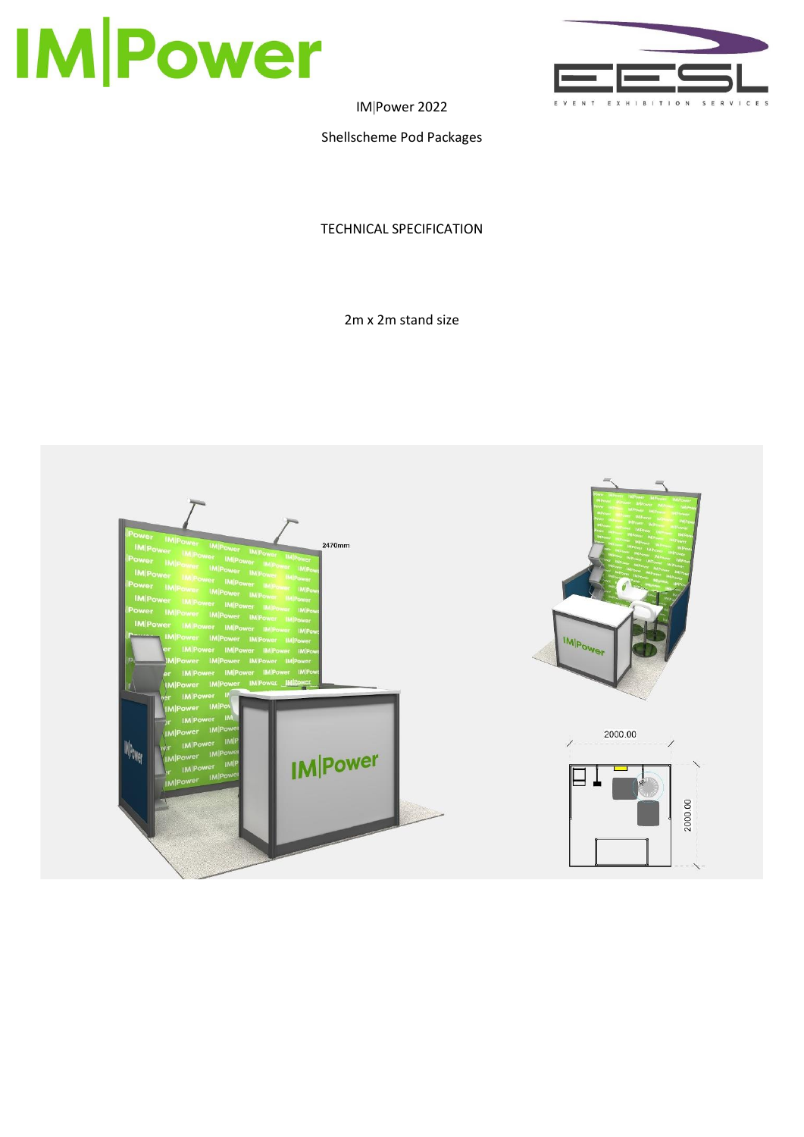



IMPower 2022

Shellscheme Pod Packages

TECHNICAL SPECIFICATION

2m x 2m stand size

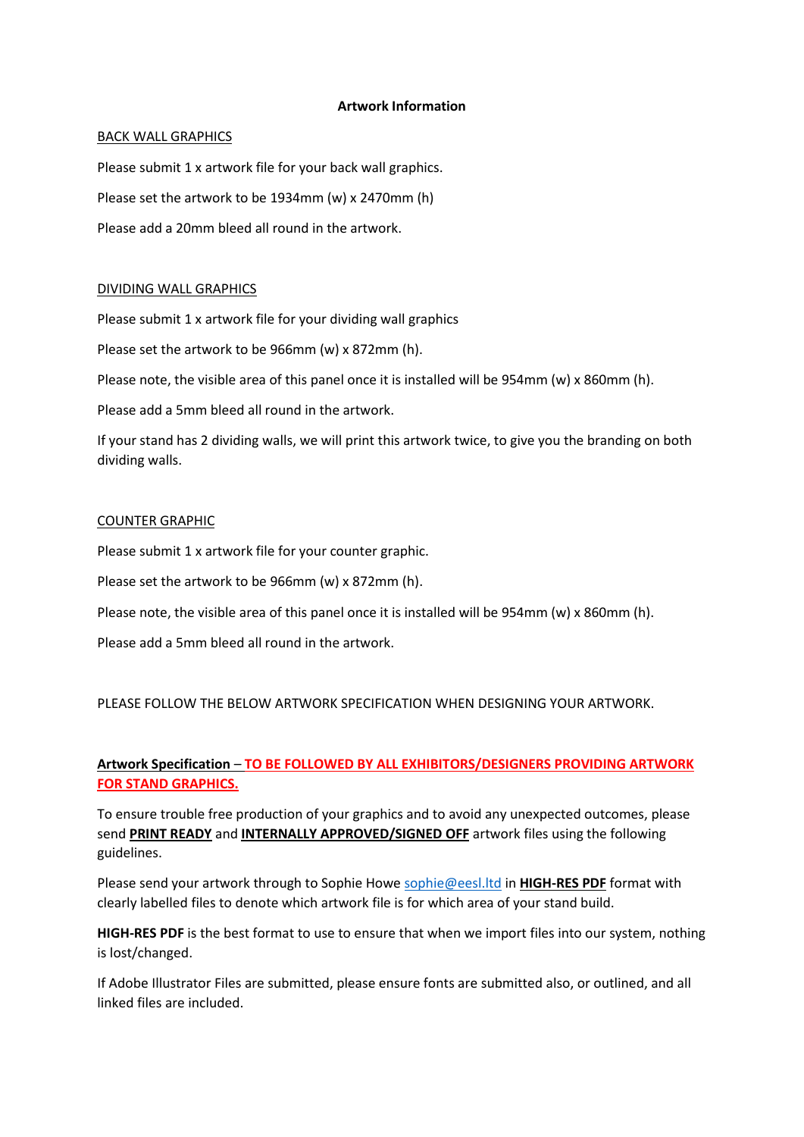### **Artwork Information**

### BACK WALL GRAPHICS

Please submit 1 x artwork file for your back wall graphics. Please set the artwork to be 1934mm (w) x 2470mm (h) Please add a 20mm bleed all round in the artwork.

## DIVIDING WALL GRAPHICS

Please submit 1 x artwork file for your dividing wall graphics

Please set the artwork to be 966mm (w) x 872mm (h).

Please note, the visible area of this panel once it is installed will be 954mm (w) x 860mm (h).

Please add a 5mm bleed all round in the artwork.

If your stand has 2 dividing walls, we will print this artwork twice, to give you the branding on both dividing walls.

### COUNTER GRAPHIC

Please submit 1 x artwork file for your counter graphic.

Please set the artwork to be 966mm (w) x 872mm (h).

Please note, the visible area of this panel once it is installed will be 954mm (w) x 860mm (h).

Please add a 5mm bleed all round in the artwork.

PLEASE FOLLOW THE BELOW ARTWORK SPECIFICATION WHEN DESIGNING YOUR ARTWORK.

# **Artwork Specification** – **TO BE FOLLOWED BY ALL EXHIBITORS/DESIGNERS PROVIDING ARTWORK FOR STAND GRAPHICS.**

To ensure trouble free production of your graphics and to avoid any unexpected outcomes, please send **PRINT READY** and **INTERNALLY APPROVED/SIGNED OFF** artwork files using the following guidelines.

Please send your artwork through to Sophie Howe [sophie@eesl.ltd](mailto:sophie@eesl.ltd) in **HIGH-RES PDF** format with clearly labelled files to denote which artwork file is for which area of your stand build.

**HIGH-RES PDF** is the best format to use to ensure that when we import files into our system, nothing is lost/changed.

If Adobe Illustrator Files are submitted, please ensure fonts are submitted also, or outlined, and all linked files are included.